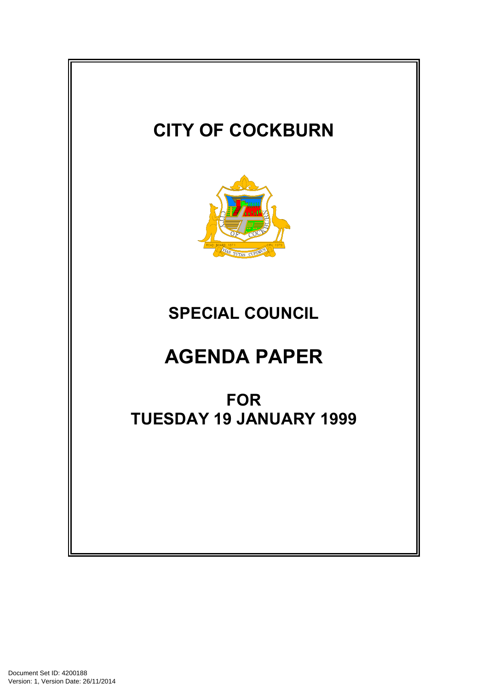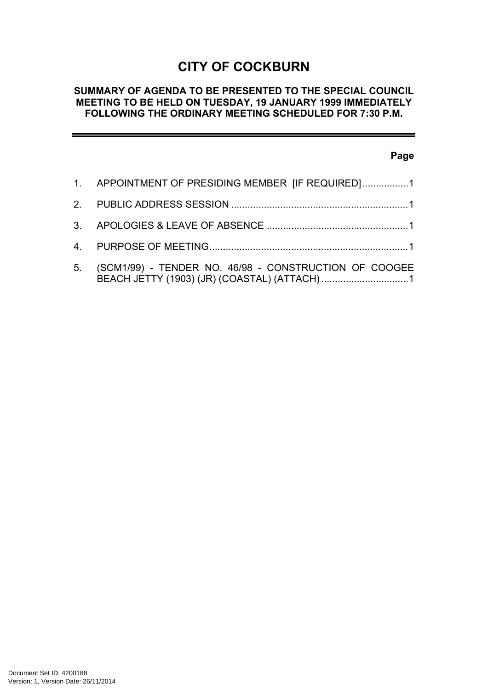# **CITY OF COCKBURN**

#### **SUMMARY OF AGENDA TO BE PRESENTED TO THE SPECIAL COUNCIL MEETING TO BE HELD ON TUESDAY, 19 JANUARY 1999 IMMEDIATELY FOLLOWING THE ORDINARY MEETING SCHEDULED FOR 7:30 P.M.**

### **Page**

| 1. APPOINTMENT OF PRESIDING MEMBER [IF REQUIRED]1        |
|----------------------------------------------------------|
|                                                          |
|                                                          |
|                                                          |
| 5. (SCM1/99) - TENDER NO. 46/98 - CONSTRUCTION OF COOGEE |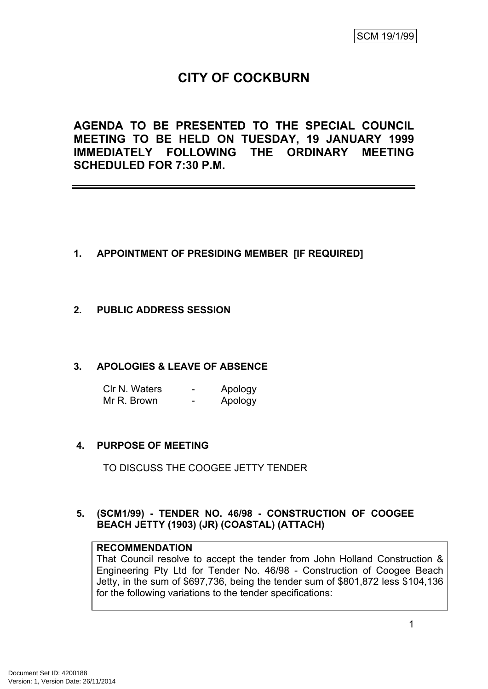# **CITY OF COCKBURN**

**AGENDA TO BE PRESENTED TO THE SPECIAL COUNCIL MEETING TO BE HELD ON TUESDAY, 19 JANUARY 1999 IMMEDIATELY FOLLOWING THE ORDINARY MEETING SCHEDULED FOR 7:30 P.M.**

- <span id="page-2-0"></span>**1. APPOINTMENT OF PRESIDING MEMBER [IF REQUIRED]**
- <span id="page-2-1"></span>**2. PUBLIC ADDRESS SESSION**

## <span id="page-2-2"></span>**3. APOLOGIES & LEAVE OF ABSENCE**

| CIr N. Waters | Apology |
|---------------|---------|
| Mr R. Brown   | Apology |

## <span id="page-2-3"></span>**4. PURPOSE OF MEETING**

TO DISCUSS THE COOGEE JETTY TENDER

## <span id="page-2-4"></span>**5. (SCM1/99) - TENDER NO. 46/98 - CONSTRUCTION OF COOGEE BEACH JETTY (1903) (JR) (COASTAL) (ATTACH)**

## **RECOMMENDATION**

That Council resolve to accept the tender from John Holland Construction & Engineering Pty Ltd for Tender No. 46/98 - Construction of Coogee Beach Jetty, in the sum of \$697,736, being the tender sum of \$801,872 less \$104,136 for the following variations to the tender specifications: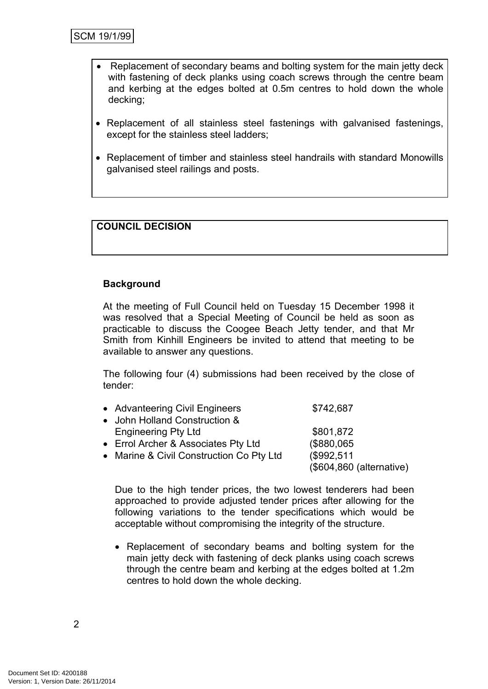- Replacement of secondary beams and bolting system for the main jetty deck with fastening of deck planks using coach screws through the centre beam and kerbing at the edges bolted at 0.5m centres to hold down the whole decking;
- Replacement of all stainless steel fastenings with galvanised fastenings, except for the stainless steel ladders;
- Replacement of timber and stainless steel handrails with standard Monowills galvanised steel railings and posts.

## **COUNCIL DECISION**

#### **Background**

At the meeting of Full Council held on Tuesday 15 December 1998 it was resolved that a Special Meeting of Council be held as soon as practicable to discuss the Coogee Beach Jetty tender, and that Mr Smith from Kinhill Engineers be invited to attend that meeting to be available to answer any questions.

The following four (4) submissions had been received by the close of tender:

| • Advanteering Civil Engineers           | \$742,687                |
|------------------------------------------|--------------------------|
| • John Holland Construction &            |                          |
| <b>Engineering Pty Ltd</b>               | \$801,872                |
| • Errol Archer & Associates Pty Ltd      | (\$880,065)              |
| • Marine & Civil Construction Co Pty Ltd | (\$992,511)              |
|                                          | (\$604,860 (alternative) |

Due to the high tender prices, the two lowest tenderers had been approached to provide adjusted tender prices after allowing for the following variations to the tender specifications which would be acceptable without compromising the integrity of the structure.

• Replacement of secondary beams and bolting system for the main jetty deck with fastening of deck planks using coach screws through the centre beam and kerbing at the edges bolted at 1.2m centres to hold down the whole decking.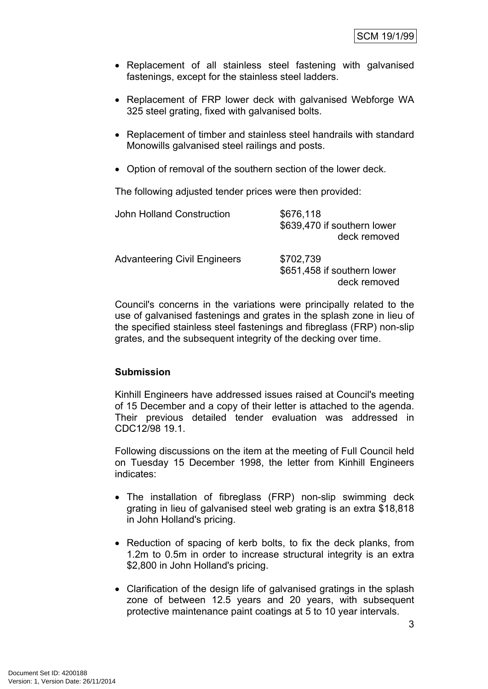- Replacement of all stainless steel fastening with galvanised fastenings, except for the stainless steel ladders.
- Replacement of FRP lower deck with galvanised Webforge WA 325 steel grating, fixed with galvanised bolts.
- Replacement of timber and stainless steel handrails with standard Monowills galvanised steel railings and posts.
- Option of removal of the southern section of the lower deck.

The following adjusted tender prices were then provided:

| <b>John Holland Construction</b>    | \$676,118<br>\$639,470 if southern lower<br>deck removed |
|-------------------------------------|----------------------------------------------------------|
| <b>Advanteering Civil Engineers</b> | \$702,739<br>\$651,458 if southern lower<br>deck removed |

Council's concerns in the variations were principally related to the use of galvanised fastenings and grates in the splash zone in lieu of the specified stainless steel fastenings and fibreglass (FRP) non-slip grates, and the subsequent integrity of the decking over time.

#### **Submission**

Kinhill Engineers have addressed issues raised at Council's meeting of 15 December and a copy of their letter is attached to the agenda. Their previous detailed tender evaluation was addressed in CDC12/98 19.1.

Following discussions on the item at the meeting of Full Council held on Tuesday 15 December 1998, the letter from Kinhill Engineers indicates:

- The installation of fibreglass (FRP) non-slip swimming deck grating in lieu of galvanised steel web grating is an extra \$18,818 in John Holland's pricing.
- Reduction of spacing of kerb bolts, to fix the deck planks, from 1.2m to 0.5m in order to increase structural integrity is an extra \$2,800 in John Holland's pricing.
- Clarification of the design life of galvanised gratings in the splash zone of between 12.5 years and 20 years, with subsequent protective maintenance paint coatings at 5 to 10 year intervals.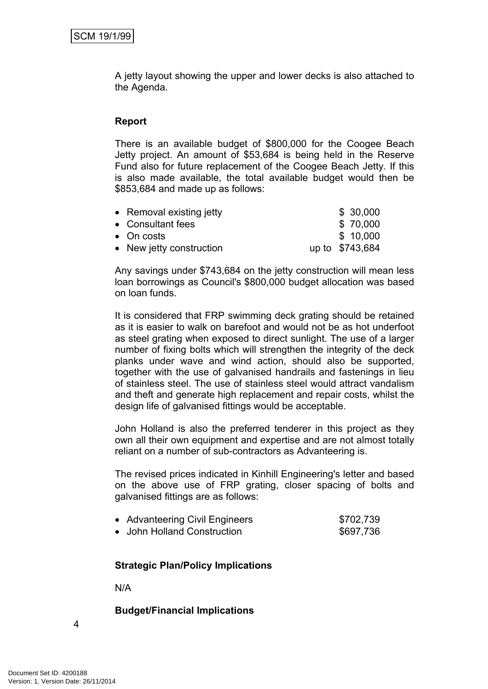A jetty layout showing the upper and lower decks is also attached to the Agenda.

#### **Report**

There is an available budget of \$800,000 for the Coogee Beach Jetty project. An amount of \$53,684 is being held in the Reserve Fund also for future replacement of the Coogee Beach Jetty. If this is also made available, the total available budget would then be \$853,684 and made up as follows:

| • Removal existing jetty | \$30,000        |
|--------------------------|-----------------|
| • Consultant fees        | \$ 70,000       |
| • On costs               | \$10,000        |
| • New jetty construction | up to \$743,684 |

Any savings under \$743,684 on the jetty construction will mean less loan borrowings as Council's \$800,000 budget allocation was based on loan funds.

It is considered that FRP swimming deck grating should be retained as it is easier to walk on barefoot and would not be as hot underfoot as steel grating when exposed to direct sunlight. The use of a larger number of fixing bolts which will strengthen the integrity of the deck planks under wave and wind action, should also be supported, together with the use of galvanised handrails and fastenings in lieu of stainless steel. The use of stainless steel would attract vandalism and theft and generate high replacement and repair costs, whilst the design life of galvanised fittings would be acceptable.

John Holland is also the preferred tenderer in this project as they own all their own equipment and expertise and are not almost totally reliant on a number of sub-contractors as Advanteering is.

The revised prices indicated in Kinhill Engineering's letter and based on the above use of FRP grating, closer spacing of bolts and galvanised fittings are as follows:

| • Advanteering Civil Engineers | \$702,739 |
|--------------------------------|-----------|
| • John Holland Construction    | \$697,736 |

#### **Strategic Plan/Policy Implications**

N/A

#### **Budget/Financial Implications**

4